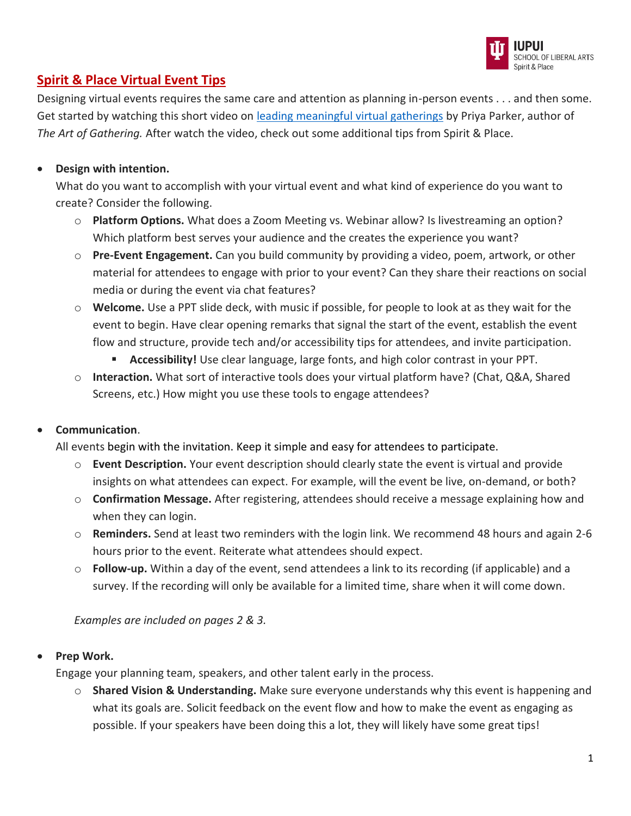

# **Spirit & Place Virtual Event Tips**

Designing virtual events requires the same care and attention as planning in-person events . . . and then some. Get started by watching this short video on [leading meaningful virtual gatherings](https://www.youtube.com/watch?v=2yLjrYijlIw) by Priya Parker, author of *The Art of Gathering.* After watch the video, check out some additional tips from Spirit & Place.

### • **Design with intention.**

What do you want to accomplish with your virtual event and what kind of experience do you want to create? Consider the following.

- o **Platform Options.** What does a Zoom Meeting vs. Webinar allow? Is livestreaming an option? Which platform best serves your audience and the creates the experience you want?
- o **Pre-Event Engagement.** Can you build community by providing a video, poem, artwork, or other material for attendees to engage with prior to your event? Can they share their reactions on social media or during the event via chat features?
- o **Welcome.** Use a PPT slide deck, with music if possible, for people to look at as they wait for the event to begin. Have clear opening remarks that signal the start of the event, establish the event flow and structure, provide tech and/or accessibility tips for attendees, and invite participation.
	- **Accessibility!** Use clear language, large fonts, and high color contrast in your PPT.
- o **Interaction.** What sort of interactive tools does your virtual platform have? (Chat, Q&A, Shared Screens, etc.) How might you use these tools to engage attendees?

### • **Communication**.

All events begin with the invitation. Keep it simple and easy for attendees to participate.

- o **Event Description.** Your event description should clearly state the event is virtual and provide insights on what attendees can expect. For example, will the event be live, on-demand, or both?
- o **Confirmation Message.** After registering, attendees should receive a message explaining how and when they can login.
- o **Reminders.** Send at least two reminders with the login link. We recommend 48 hours and again 2-6 hours prior to the event. Reiterate what attendees should expect.
- o **Follow-up.** Within a day of the event, send attendees a link to its recording (if applicable) and a survey. If the recording will only be available for a limited time, share when it will come down.

*Examples are included on pages 2 & 3.*

### • **Prep Work.**

Engage your planning team, speakers, and other talent early in the process.

o **Shared Vision & Understanding.** Make sure everyone understands why this event is happening and what its goals are. Solicit feedback on the event flow and how to make the event as engaging as possible. If your speakers have been doing this a lot, they will likely have some great tips!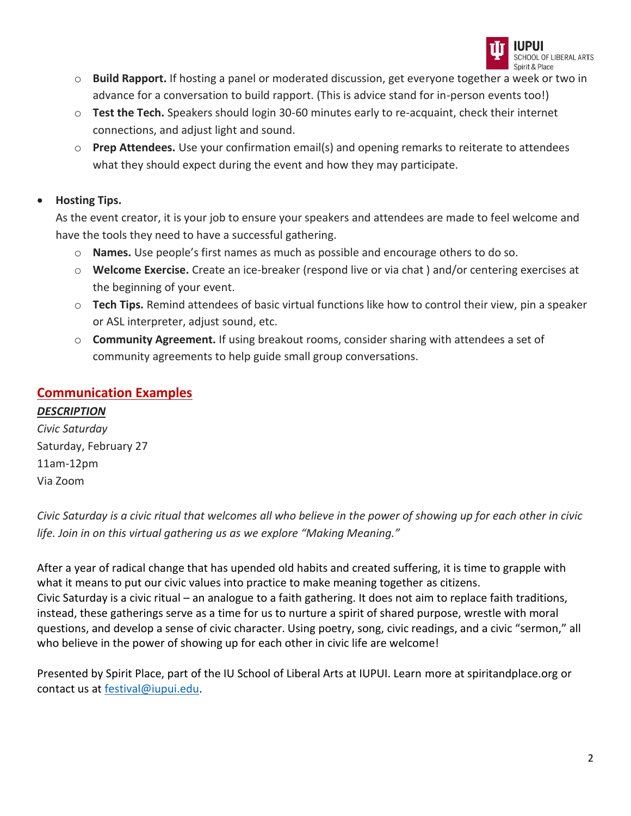

- o **Build Rapport.** If hosting a panel or moderated discussion, get everyone together a week or two in advance for a conversation to build rapport. (This is advice stand for in-person events too!)
- o **Test the Tech.** Speakers should login 30-60 minutes early to re-acquaint, check their internet connections, and adjust light and sound.
- o **Prep Attendees.** Use your confirmation email(s) and opening remarks to reiterate to attendees what they should expect during the event and how they may participate.

### • **Hosting Tips.**

As the event creator, it is your job to ensure your speakers and attendees are made to feel welcome and have the tools they need to have a successful gathering.

- o **Names.** Use people's first names as much as possible and encourage others to do so.
- o **Welcome Exercise.** Create an ice-breaker (respond live or via chat ) and/or centering exercises at the beginning of your event.
- o **Tech Tips.** Remind attendees of basic virtual functions like how to control their view, pin a speaker or ASL interpreter, adjust sound, etc.
- o **Community Agreement.** If using breakout rooms, consider sharing with attendees a set of community agreements to help guide small group conversations.

## **Communication Examples**

### *DESCRIPTION*

*Civic Saturday* Saturday, February 27 11am-12pm Via Zoom

*Civic Saturday is a civic ritual that welcomes all who believe in the power of showing up for each other in civic life. Join in on this virtual gathering us as we explore "Making Meaning."*

After a year of radical change that has upended old habits and created suffering, it is time to grapple with what it means to put our civic values into practice to make meaning together as citizens. Civic Saturday is a civic ritual – an analogue to a faith gathering. It does not aim to replace faith traditions, instead, these gatherings serve as a time for us to nurture a spirit of shared purpose, wrestle with moral questions, and develop a sense of civic character. Using poetry, song, civic readings, and a civic "sermon," all who believe in the power of showing up for each other in civic life are welcome!

Presented by Spirit Place, part of the IU School of Liberal Arts at IUPUI. Learn more at spiritandplace.org or contact us at [festival@iupui.edu.](mailto:festival@iupui.edu)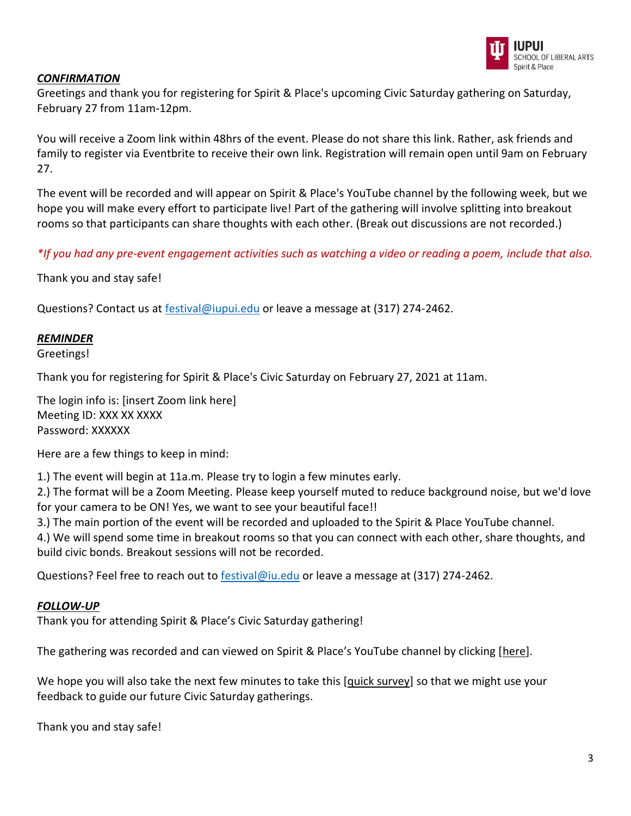

### *CONFIRMATION*

Greetings and thank you for registering for Spirit & Place's upcoming Civic Saturday gathering on Saturday, February 27 from 11am-12pm.

You will receive a Zoom link within 48hrs of the event. Please do not share this link. Rather, ask friends and family to register via Eventbrite to receive their own link. Registration will remain open until 9am on February 27.

The event will be recorded and will appear on Spirit & Place's YouTube channel by the following week, but we hope you will make every effort to participate live! Part of the gathering will involve splitting into breakout rooms so that participants can share thoughts with each other. (Break out discussions are not recorded.)

*\*If you had any pre-event engagement activities such as watching a video or reading a poem, include that also.*

Thank you and stay safe!

Questions? Contact us at [festival@iupui.edu](mailto:festival@iupui.edu) or leave a message at (317) 274-2462.

#### *REMINDER*

Greetings!

Thank you for registering for Spirit & Place's Civic Saturday on February 27, 2021 at 11am.

The login info is: [insert Zoom link here] Meeting ID: XXX XX XXXX Password: XXXXXX

Here are a few things to keep in mind:

1.) The event will begin at 11a.m. Please try to login a few minutes early.

2.) The format will be a Zoom Meeting. Please keep yourself muted to reduce background noise, but we'd love for your camera to be ON! Yes, we want to see your beautiful face!!

3.) The main portion of the event will be recorded and uploaded to the Spirit & Place YouTube channel.

4.) We will spend some time in breakout rooms so that you can connect with each other, share thoughts, and build civic bonds. Breakout sessions will not be recorded.

Questions? Feel free to reach out to **[festival@iu.edu](mailto:festival@iu.edu)** or leave a message at (317) 274-2462.

### *FOLLOW-UP*

Thank you for attending Spirit & Place's Civic Saturday gathering!

The gathering was recorded and can viewed on Spirit & Place's YouTube channel by clicking [here].

We hope you will also take the next few minutes to take this [quick survey] so that we might use your feedback to guide our future Civic Saturday gatherings.

Thank you and stay safe!